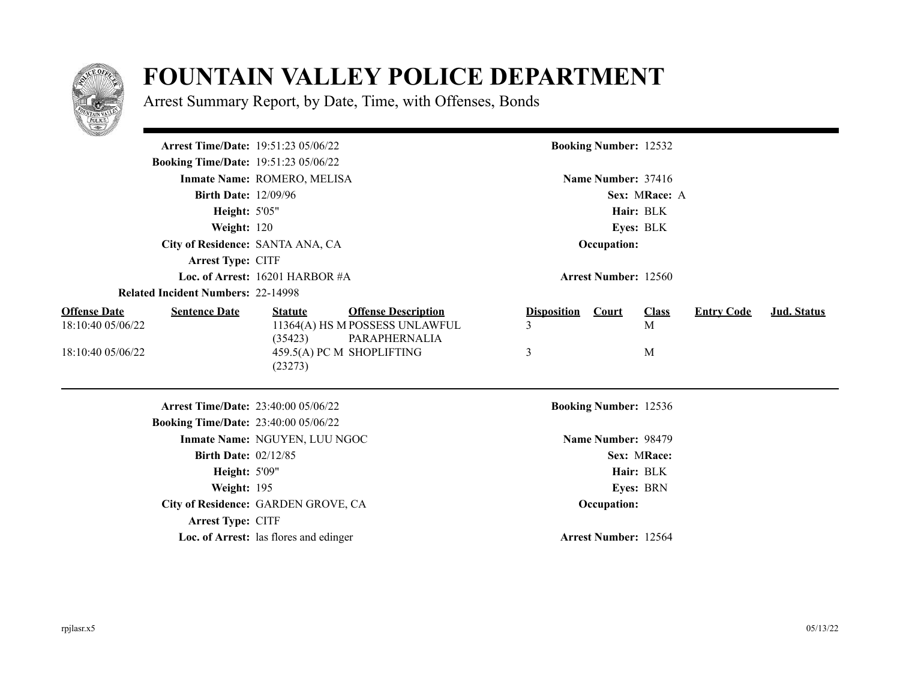

## **FOUNTAIN VALLEY POLICE DEPARTMENT**

Arrest Summary Report, by Date, Time, with Offenses, Bonds

| <u>e di gr</u> egori                                             |                                            |                                                                               |                         |                              |                   |                   |                    |
|------------------------------------------------------------------|--------------------------------------------|-------------------------------------------------------------------------------|-------------------------|------------------------------|-------------------|-------------------|--------------------|
|                                                                  | <b>Arrest Time/Date: 19:51:23 05/06/22</b> |                                                                               |                         | <b>Booking Number: 12532</b> |                   |                   |                    |
| <b>Booking Time/Date: 19:51:23 05/06/22</b>                      |                                            |                                                                               |                         |                              |                   |                   |                    |
|                                                                  | Inmate Name: ROMERO, MELISA                |                                                                               |                         | Name Number: 37416           |                   |                   |                    |
| <b>Birth Date: 12/09/96</b>                                      |                                            |                                                                               |                         |                              | Sex: MRace: A     |                   |                    |
| <b>Height: 5'05"</b>                                             |                                            |                                                                               |                         |                              | Hair: BLK         |                   |                    |
| Weight: 120                                                      |                                            |                                                                               |                         |                              | Eyes: BLK         |                   |                    |
|                                                                  | City of Residence: SANTA ANA, CA           |                                                                               |                         | Occupation:                  |                   |                   |                    |
| <b>Arrest Type: CITF</b>                                         |                                            |                                                                               |                         |                              |                   |                   |                    |
|                                                                  | Loc. of Arrest: 16201 HARBOR #A            |                                                                               |                         | <b>Arrest Number: 12560</b>  |                   |                   |                    |
| <b>Related Incident Numbers: 22-14998</b>                        |                                            |                                                                               |                         |                              |                   |                   |                    |
| <b>Offense Date</b><br><b>Sentence Date</b><br>18:10:40 05/06/22 | <b>Statute</b><br>(35423)                  | <b>Offense Description</b><br>11364(A) HS M POSSESS UNLAWFUL<br>PARAPHERNALIA | <b>Disposition</b><br>3 | <b>Court</b>                 | <b>Class</b><br>M | <b>Entry Code</b> | <b>Jud.</b> Status |
| 18:10:40 05/06/22                                                | (23273)                                    | 459.5(A) PC M SHOPLIFTING                                                     | 3                       |                              | M                 |                   |                    |
|                                                                  | <b>Arrest Time/Date: 23:40:00 05/06/22</b> |                                                                               |                         | <b>Booking Number: 12536</b> |                   |                   |                    |
| <b>Booking Time/Date: 23:40:00 05/06/22</b>                      |                                            |                                                                               |                         |                              |                   |                   |                    |
|                                                                  | Inmate Name: NGUYEN, LUU NGOC              |                                                                               |                         | Name Number: 98479           |                   |                   |                    |
| <b>Birth Date: 02/12/85</b>                                      |                                            |                                                                               |                         |                              | Sex: MRace:       |                   |                    |
| <b>Height: 5'09"</b>                                             |                                            |                                                                               |                         |                              | Hair: BLK         |                   |                    |
| Weight: 195                                                      |                                            |                                                                               |                         |                              | Eyes: BRN         |                   |                    |
|                                                                  | City of Residence: GARDEN GROVE, CA        |                                                                               |                         | Occupation:                  |                   |                   |                    |
| <b>Arrest Type: CITF</b>                                         |                                            |                                                                               |                         |                              |                   |                   |                    |
|                                                                  | Loc. of Arrest: las flores and edinger     |                                                                               |                         | <b>Arrest Number: 12564</b>  |                   |                   |                    |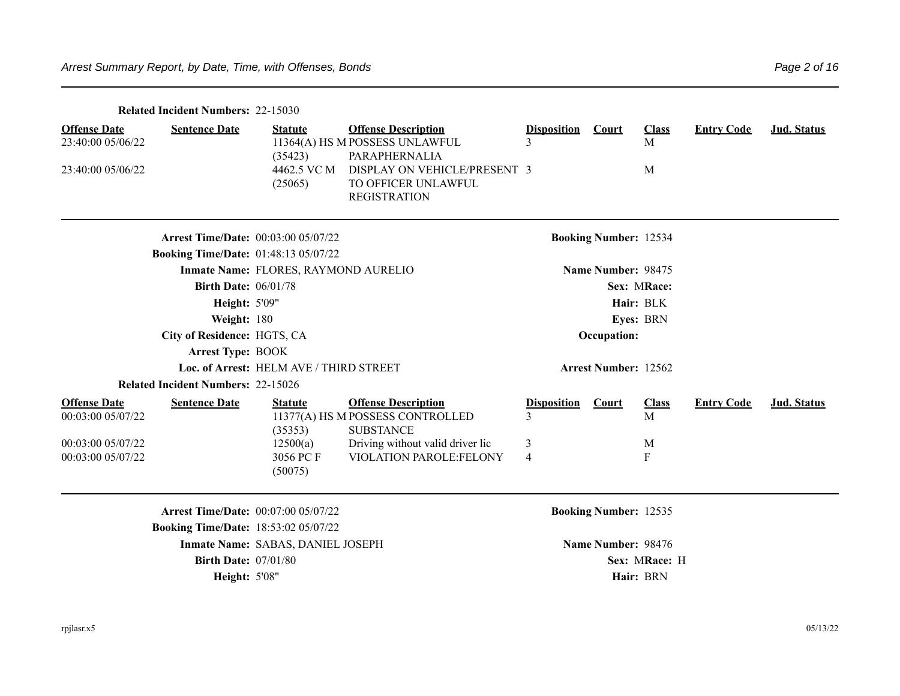|                                                                                    | <b>Related Incident Numbers: 22-15030</b>                                                 |                                                               |                                                                                                                                                             |                                   |                                                    |                             |                   |             |
|------------------------------------------------------------------------------------|-------------------------------------------------------------------------------------------|---------------------------------------------------------------|-------------------------------------------------------------------------------------------------------------------------------------------------------------|-----------------------------------|----------------------------------------------------|-----------------------------|-------------------|-------------|
| <b>Offense Date</b><br>23:40:00 05/06/22<br>23:40:00 05/06/22                      | <b>Sentence Date</b>                                                                      | <b>Statute</b><br>(35423)<br>4462.5 VC M<br>(25065)           | <b>Offense Description</b><br>11364(A) HS M POSSESS UNLAWFUL<br>PARAPHERNALIA<br>DISPLAY ON VEHICLE/PRESENT 3<br>TO OFFICER UNLAWFUL<br><b>REGISTRATION</b> | <b>Disposition</b>                | <b>Court</b>                                       | <b>Class</b><br>M<br>M      | <b>Entry Code</b> | Jud. Status |
|                                                                                    |                                                                                           |                                                               |                                                                                                                                                             |                                   |                                                    |                             |                   |             |
|                                                                                    | <b>Arrest Time/Date: 00:03:00 05/07/22</b>                                                |                                                               |                                                                                                                                                             |                                   | <b>Booking Number: 12534</b>                       |                             |                   |             |
|                                                                                    | <b>Booking Time/Date: 01:48:13 05/07/22</b>                                               |                                                               |                                                                                                                                                             |                                   |                                                    |                             |                   |             |
|                                                                                    |                                                                                           | Inmate Name: FLORES, RAYMOND AURELIO                          |                                                                                                                                                             |                                   | Name Number: 98475                                 |                             |                   |             |
|                                                                                    | <b>Birth Date: 06/01/78</b>                                                               |                                                               |                                                                                                                                                             |                                   |                                                    | Sex: MRace:                 |                   |             |
|                                                                                    | <b>Height: 5'09"</b>                                                                      |                                                               |                                                                                                                                                             |                                   |                                                    | Hair: BLK                   |                   |             |
|                                                                                    | Weight: 180                                                                               |                                                               |                                                                                                                                                             |                                   |                                                    | Eyes: BRN                   |                   |             |
|                                                                                    | City of Residence: HGTS, CA                                                               |                                                               |                                                                                                                                                             |                                   | Occupation:                                        |                             |                   |             |
|                                                                                    | <b>Arrest Type: BOOK</b>                                                                  |                                                               |                                                                                                                                                             |                                   |                                                    |                             |                   |             |
|                                                                                    |                                                                                           | Loc. of Arrest: HELM AVE / THIRD STREET                       |                                                                                                                                                             |                                   | <b>Arrest Number: 12562</b>                        |                             |                   |             |
|                                                                                    | <b>Related Incident Numbers: 22-15026</b>                                                 |                                                               |                                                                                                                                                             |                                   |                                                    |                             |                   |             |
| <b>Offense Date</b><br>00:03:00 05/07/22<br>00:03:00 05/07/22<br>00:03:00 05/07/22 | <b>Sentence Date</b>                                                                      | <b>Statute</b><br>(35353)<br>12500(a)<br>3056 PC F<br>(50075) | <b>Offense Description</b><br>11377(A) HS M POSSESS CONTROLLED<br><b>SUBSTANCE</b><br>Driving without valid driver lic<br>VIOLATION PAROLE:FELONY           | <b>Disposition</b><br>3<br>3<br>4 | <b>Court</b>                                       | <b>Class</b><br>M<br>M<br>F | <b>Entry Code</b> | Jud. Status |
|                                                                                    | <b>Arrest Time/Date: 00:07:00 05/07/22</b><br><b>Booking Time/Date: 18:53:02 05/07/22</b> | Inmate Name: SABAS, DANIEL JOSEPH                             |                                                                                                                                                             |                                   | <b>Booking Number: 12535</b><br>Name Number: 98476 |                             |                   |             |
|                                                                                    | <b>Birth Date: 07/01/80</b>                                                               |                                                               |                                                                                                                                                             |                                   |                                                    | Sex: MRace: H               |                   |             |
|                                                                                    | <b>Height: 5'08"</b>                                                                      |                                                               |                                                                                                                                                             |                                   |                                                    | Hair: BRN                   |                   |             |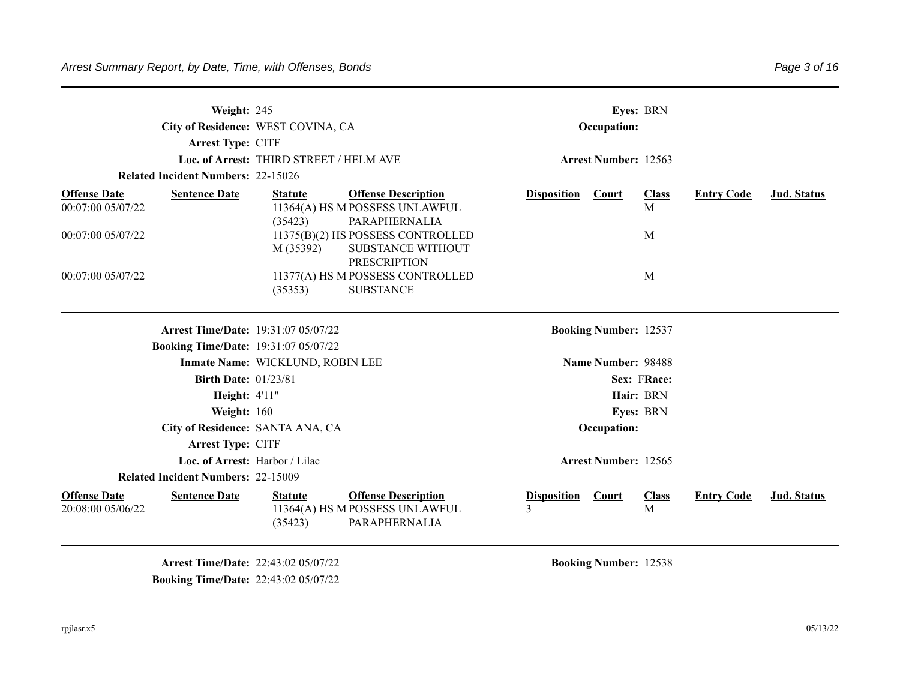|                                          | Weight: 245<br>City of Residence: WEST COVINA, CA<br><b>Arrest Type: CITF</b> | Loc. of Arrest: THIRD STREET / HELM AVE |                                                                                      |                         | Occupation:<br><b>Arrest Number: 12563</b> | Eyes: BRN         |                   |                    |
|------------------------------------------|-------------------------------------------------------------------------------|-----------------------------------------|--------------------------------------------------------------------------------------|-------------------------|--------------------------------------------|-------------------|-------------------|--------------------|
|                                          | <b>Related Incident Numbers: 22-15026</b>                                     |                                         |                                                                                      |                         |                                            |                   |                   |                    |
| <b>Offense Date</b><br>00:07:00 05/07/22 | <b>Sentence Date</b>                                                          | <b>Statute</b><br>(35423)               | <b>Offense Description</b><br>11364(A) HS M POSSESS UNLAWFUL<br>PARAPHERNALIA        | <b>Disposition</b>      | Court                                      | <b>Class</b><br>M | <b>Entry Code</b> | Jud. Status        |
| 00:07:00 05/07/22                        |                                                                               | M (35392)                               | 11375(B)(2) HS POSSESS CONTROLLED<br><b>SUBSTANCE WITHOUT</b><br><b>PRESCRIPTION</b> |                         |                                            | M                 |                   |                    |
| 00:07:00 05/07/22                        |                                                                               | (35353)                                 | 11377(A) HS M POSSESS CONTROLLED<br><b>SUBSTANCE</b>                                 |                         |                                            | M                 |                   |                    |
|                                          | <b>Arrest Time/Date: 19:31:07 05/07/22</b>                                    |                                         |                                                                                      |                         | <b>Booking Number: 12537</b>               |                   |                   |                    |
|                                          | <b>Booking Time/Date: 19:31:07 05/07/22</b>                                   |                                         |                                                                                      |                         |                                            |                   |                   |                    |
|                                          |                                                                               | Inmate Name: WICKLUND, ROBIN LEE        |                                                                                      |                         | Name Number: 98488                         |                   |                   |                    |
|                                          | <b>Birth Date: 01/23/81</b>                                                   |                                         |                                                                                      |                         |                                            | Sex: FRace:       |                   |                    |
|                                          | <b>Height: 4'11"</b>                                                          |                                         |                                                                                      |                         |                                            | Hair: BRN         |                   |                    |
|                                          | Weight: 160                                                                   |                                         |                                                                                      |                         |                                            | Eyes: BRN         |                   |                    |
|                                          | City of Residence: SANTA ANA, CA                                              |                                         |                                                                                      |                         | Occupation:                                |                   |                   |                    |
|                                          | Arrest Type: CITF                                                             |                                         |                                                                                      |                         |                                            |                   |                   |                    |
|                                          | Loc. of Arrest: Harbor / Lilac                                                |                                         |                                                                                      |                         | <b>Arrest Number: 12565</b>                |                   |                   |                    |
|                                          | <b>Related Incident Numbers: 22-15009</b>                                     |                                         |                                                                                      |                         |                                            |                   |                   |                    |
| <b>Offense Date</b><br>20:08:00 05/06/22 | <b>Sentence Date</b>                                                          | <b>Statute</b><br>(35423)               | <b>Offense Description</b><br>11364(A) HS M POSSESS UNLAWFUL<br>PARAPHERNALIA        | <b>Disposition</b><br>3 | Court                                      | <b>Class</b><br>M | <b>Entry Code</b> | <b>Jud. Status</b> |

**Arrest Time/Date:** 22:43:02 05/07/22 **Booking Number:** 12538 **Booking Time/Date:** 22:43:02 05/07/22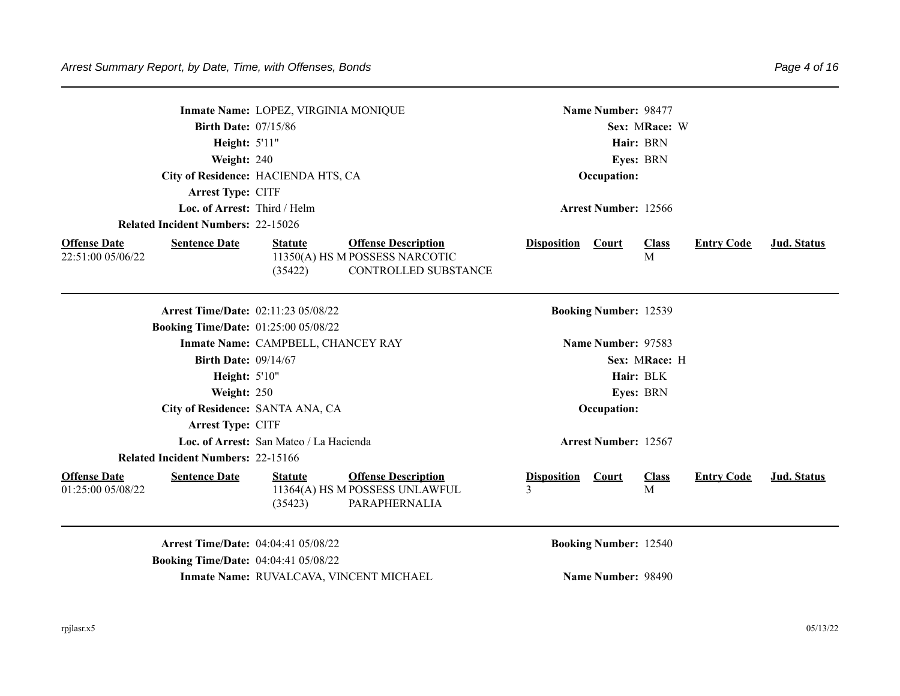|                                          |                                             | Inmate Name: LOPEZ, VIRGINIA MONIQUE    |                                                                               |                               | Name Number: 98477           |                   |                   |             |
|------------------------------------------|---------------------------------------------|-----------------------------------------|-------------------------------------------------------------------------------|-------------------------------|------------------------------|-------------------|-------------------|-------------|
|                                          | <b>Birth Date: 07/15/86</b>                 |                                         |                                                                               |                               |                              | Sex: MRace: W     |                   |             |
|                                          | <b>Height: 5'11"</b>                        |                                         |                                                                               |                               |                              | Hair: BRN         |                   |             |
|                                          | Weight: 240                                 |                                         |                                                                               |                               |                              |                   |                   |             |
|                                          | City of Residence: HACIENDA HTS, CA         |                                         |                                                                               |                               | Occupation:                  | Eyes: BRN         |                   |             |
|                                          | <b>Arrest Type: CITF</b>                    |                                         |                                                                               |                               |                              |                   |                   |             |
|                                          | Loc. of Arrest: Third / Helm                |                                         |                                                                               |                               | <b>Arrest Number: 12566</b>  |                   |                   |             |
|                                          | <b>Related Incident Numbers: 22-15026</b>   |                                         |                                                                               |                               |                              |                   |                   |             |
| <b>Offense Date</b>                      | <b>Sentence Date</b>                        | <b>Statute</b>                          | <b>Offense Description</b>                                                    | <b>Disposition</b>            | Court                        | <b>Class</b>      | <b>Entry Code</b> | Jud. Status |
| 22:51:00 05/06/22                        |                                             | (35422)                                 | 11350(A) HS M POSSESS NARCOTIC<br>CONTROLLED SUBSTANCE                        |                               |                              | M                 |                   |             |
|                                          | <b>Arrest Time/Date: 02:11:23 05/08/22</b>  |                                         |                                                                               |                               | <b>Booking Number: 12539</b> |                   |                   |             |
|                                          | <b>Booking Time/Date: 01:25:00 05/08/22</b> |                                         |                                                                               |                               |                              |                   |                   |             |
|                                          |                                             | Inmate Name: CAMPBELL, CHANCEY RAY      |                                                                               |                               | Name Number: 97583           |                   |                   |             |
|                                          | <b>Birth Date: 09/14/67</b>                 |                                         |                                                                               |                               |                              | Sex: MRace: H     |                   |             |
|                                          | <b>Height: 5'10"</b>                        |                                         |                                                                               |                               |                              | Hair: BLK         |                   |             |
|                                          | Weight: 250                                 |                                         |                                                                               |                               |                              | Eyes: BRN         |                   |             |
|                                          | City of Residence: SANTA ANA, CA            |                                         |                                                                               |                               | Occupation:                  |                   |                   |             |
|                                          | Arrest Type: CITF                           |                                         |                                                                               |                               |                              |                   |                   |             |
|                                          |                                             | Loc. of Arrest: San Mateo / La Hacienda |                                                                               |                               | <b>Arrest Number: 12567</b>  |                   |                   |             |
|                                          | <b>Related Incident Numbers: 22-15166</b>   |                                         |                                                                               |                               |                              |                   |                   |             |
| <b>Offense Date</b><br>01:25:00 05/08/22 | <b>Sentence Date</b>                        | <b>Statute</b><br>(35423)               | <b>Offense Description</b><br>11364(A) HS M POSSESS UNLAWFUL<br>PARAPHERNALIA | <b>Disposition</b> Court<br>3 |                              | <b>Class</b><br>M | <b>Entry Code</b> | Jud. Status |
|                                          | <b>Arrest Time/Date: 04:04:41 05/08/22</b>  |                                         |                                                                               |                               | <b>Booking Number: 12540</b> |                   |                   |             |
|                                          | <b>Booking Time/Date: 04:04:41 05/08/22</b> |                                         |                                                                               |                               |                              |                   |                   |             |
|                                          |                                             |                                         | Inmate Name: RUVALCAVA, VINCENT MICHAEL                                       |                               | Name Number: 98490           |                   |                   |             |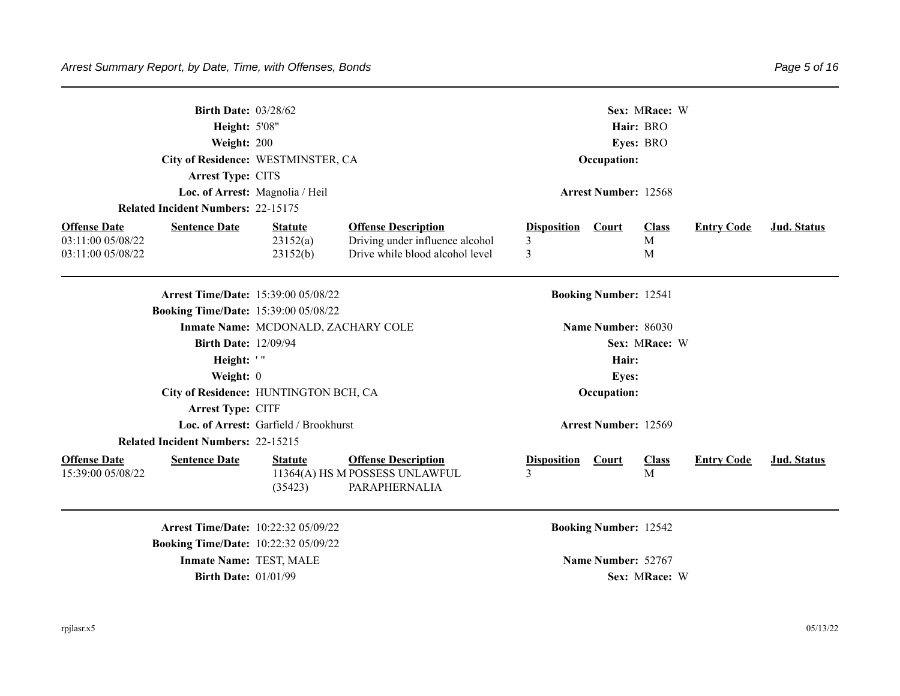| <b>Related Incident Numbers: 22-15175</b>                                             | Height: 5'08"<br>Weight: 200<br>Arrest Type: CITS | <b>Birth Date: 03/28/62</b><br>City of Residence: WESTMINSTER, CA<br>Loc. of Arrest: Magnolia / Heil |                                                                                                  |                              | Occupation:<br><b>Arrest Number: 12568</b> | Sex: MRace: W<br>Hair: BRO<br>Eyes: BRO |                   |             |
|---------------------------------------------------------------------------------------|---------------------------------------------------|------------------------------------------------------------------------------------------------------|--------------------------------------------------------------------------------------------------|------------------------------|--------------------------------------------|-----------------------------------------|-------------------|-------------|
| <b>Sentence Date</b><br><b>Offense Date</b><br>03:11:00 05/08/22<br>03:11:00 05/08/22 |                                                   | <b>Statute</b><br>23152(a)<br>23152(b)                                                               | <b>Offense Description</b><br>Driving under influence alcohol<br>Drive while blood alcohol level | <b>Disposition</b><br>3<br>3 | <b>Court</b>                               | <b>Class</b><br>$\mathbf{M}$<br>M       | <b>Entry Code</b> | Jud. Status |
|                                                                                       |                                                   | <b>Arrest Time/Date: 15:39:00 05/08/22</b><br><b>Booking Time/Date: 15:39:00 05/08/22</b>            |                                                                                                  |                              | <b>Booking Number: 12541</b>               |                                         |                   |             |
|                                                                                       |                                                   | Inmate Name: MCDONALD, ZACHARY COLE                                                                  |                                                                                                  |                              | Name Number: 86030                         |                                         |                   |             |
|                                                                                       |                                                   | <b>Birth Date: 12/09/94</b>                                                                          |                                                                                                  |                              |                                            | Sex: MRace: W                           |                   |             |
|                                                                                       | Height: '"                                        |                                                                                                      |                                                                                                  |                              | Hair:                                      |                                         |                   |             |
|                                                                                       | Weight: 0                                         |                                                                                                      |                                                                                                  |                              | <b>Eyes:</b>                               |                                         |                   |             |
|                                                                                       | Arrest Type: CITF                                 | City of Residence: HUNTINGTON BCH, CA                                                                |                                                                                                  |                              | Occupation:                                |                                         |                   |             |
|                                                                                       |                                                   | Loc. of Arrest: Garfield / Brookhurst                                                                |                                                                                                  |                              | <b>Arrest Number: 12569</b>                |                                         |                   |             |
| <b>Related Incident Numbers: 22-15215</b>                                             |                                                   |                                                                                                      |                                                                                                  |                              |                                            |                                         |                   |             |
| <b>Offense Date</b><br><b>Sentence Date</b><br>15:39:00 05/08/22                      |                                                   | <b>Statute</b><br>(35423)                                                                            | <b>Offense Description</b><br>11364(A) HS M POSSESS UNLAWFUL<br>PARAPHERNALIA                    | <b>Disposition</b><br>3      | Court                                      | <b>Class</b><br>M                       | <b>Entry Code</b> | Jud. Status |
|                                                                                       |                                                   | Arrest Time/Date: 10:22:32 05/09/22<br><b>Booking Time/Date: 10:22:32 05/09/22</b>                   |                                                                                                  |                              | <b>Booking Number: 12542</b>               |                                         |                   |             |
|                                                                                       |                                                   | <b>Inmate Name: TEST, MALE</b>                                                                       |                                                                                                  |                              | Name Number: 52767                         |                                         |                   |             |
|                                                                                       |                                                   | <b>Birth Date: 01/01/99</b>                                                                          |                                                                                                  |                              |                                            | Sex: MRace: W                           |                   |             |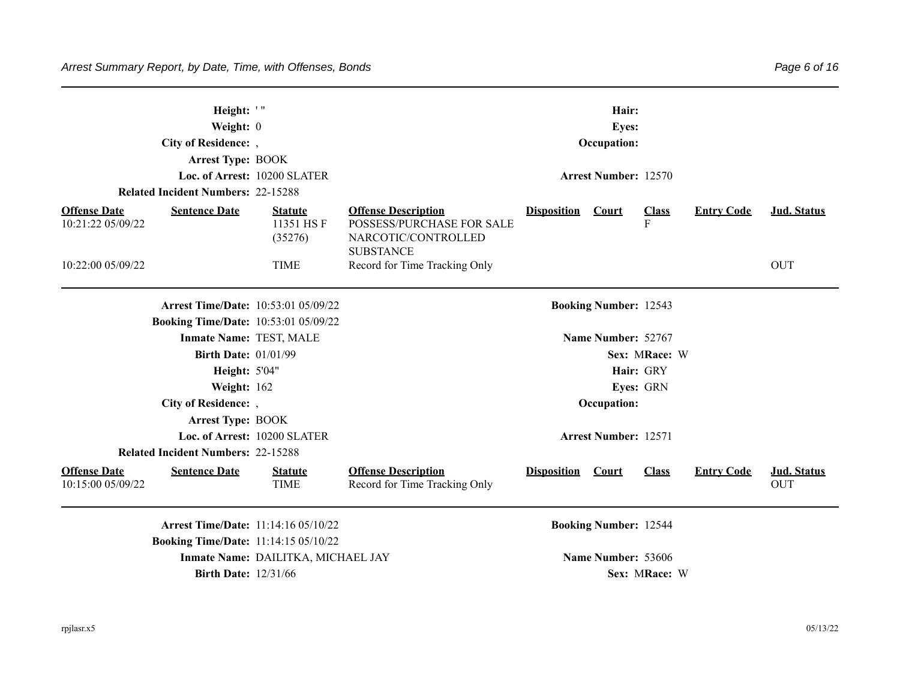|                                          | Height: '"<br>Weight: 0<br>City of Residence: ,<br><b>Arrest Type: BOOK</b> |                                        |                                                                                                    |                    | Hair:<br><b>Eyes:</b><br>Occupation: |                                |                   |                           |
|------------------------------------------|-----------------------------------------------------------------------------|----------------------------------------|----------------------------------------------------------------------------------------------------|--------------------|--------------------------------------|--------------------------------|-------------------|---------------------------|
|                                          |                                                                             | Loc. of Arrest: 10200 SLATER           |                                                                                                    |                    | <b>Arrest Number: 12570</b>          |                                |                   |                           |
|                                          | <b>Related Incident Numbers: 22-15288</b>                                   |                                        |                                                                                                    |                    |                                      |                                |                   |                           |
| <b>Offense Date</b><br>10:21:22 05/09/22 | <b>Sentence Date</b>                                                        | <b>Statute</b><br>11351 HSF<br>(35276) | <b>Offense Description</b><br>POSSESS/PURCHASE FOR SALE<br>NARCOTIC/CONTROLLED<br><b>SUBSTANCE</b> | <b>Disposition</b> | <b>Court</b>                         | <b>Class</b><br>$\overline{F}$ | <b>Entry Code</b> | <b>Jud.</b> Status        |
| 10:22:00 05/09/22                        |                                                                             | <b>TIME</b>                            | Record for Time Tracking Only                                                                      |                    |                                      |                                |                   | <b>OUT</b>                |
|                                          | <b>Arrest Time/Date: 10:53:01 05/09/22</b>                                  |                                        |                                                                                                    |                    | <b>Booking Number: 12543</b>         |                                |                   |                           |
|                                          | <b>Booking Time/Date: 10:53:01 05/09/22</b>                                 |                                        |                                                                                                    |                    |                                      |                                |                   |                           |
|                                          | <b>Inmate Name: TEST, MALE</b>                                              |                                        |                                                                                                    |                    | Name Number: 52767                   |                                |                   |                           |
|                                          | <b>Birth Date: 01/01/99</b>                                                 |                                        |                                                                                                    |                    |                                      | Sex: MRace: W                  |                   |                           |
|                                          | <b>Height: 5'04"</b>                                                        |                                        |                                                                                                    |                    |                                      | Hair: GRY                      |                   |                           |
|                                          | Weight: 162                                                                 |                                        |                                                                                                    |                    |                                      | Eyes: GRN                      |                   |                           |
|                                          | City of Residence: ,                                                        |                                        |                                                                                                    |                    | Occupation:                          |                                |                   |                           |
|                                          | <b>Arrest Type: BOOK</b>                                                    |                                        |                                                                                                    |                    |                                      |                                |                   |                           |
|                                          |                                                                             | Loc. of Arrest: 10200 SLATER           |                                                                                                    |                    | <b>Arrest Number: 12571</b>          |                                |                   |                           |
|                                          | <b>Related Incident Numbers: 22-15288</b>                                   |                                        |                                                                                                    |                    |                                      |                                |                   |                           |
| <b>Offense Date</b><br>10:15:00 05/09/22 | <b>Sentence Date</b>                                                        | <b>Statute</b><br><b>TIME</b>          | <b>Offense Description</b><br>Record for Time Tracking Only                                        | <b>Disposition</b> | Court                                | <b>Class</b>                   | <b>Entry Code</b> | Jud. Status<br><b>OUT</b> |
|                                          | <b>Arrest Time/Date: 11:14:16 05/10/22</b>                                  |                                        |                                                                                                    |                    | <b>Booking Number: 12544</b>         |                                |                   |                           |
|                                          | <b>Booking Time/Date: 11:14:15 05/10/22</b>                                 |                                        |                                                                                                    |                    |                                      |                                |                   |                           |
|                                          |                                                                             | Inmate Name: DAILITKA, MICHAEL JAY     |                                                                                                    |                    | Name Number: 53606                   |                                |                   |                           |

**Birth Date:** 12/31/66 **Sex:** MRace: W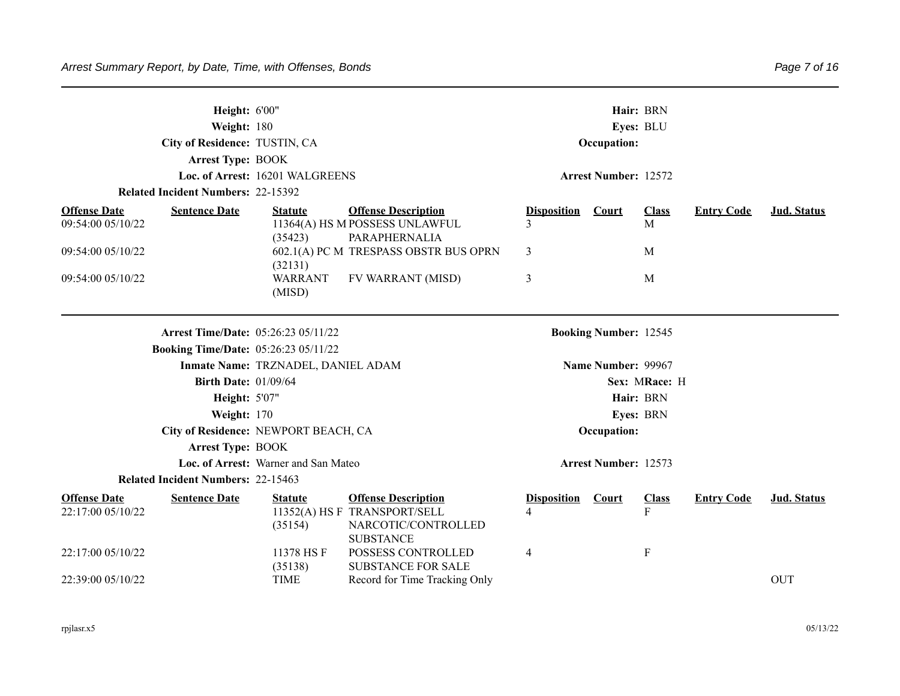|                                          | Height: 6'00"<br>Weight: 180                |                                      |                                                                                                       |                         |                              | Hair: BRN<br>Eyes: BLU       |                   |             |
|------------------------------------------|---------------------------------------------|--------------------------------------|-------------------------------------------------------------------------------------------------------|-------------------------|------------------------------|------------------------------|-------------------|-------------|
|                                          | City of Residence: TUSTIN, CA               |                                      |                                                                                                       |                         | Occupation:                  |                              |                   |             |
|                                          | <b>Arrest Type: BOOK</b>                    |                                      |                                                                                                       |                         |                              |                              |                   |             |
|                                          |                                             | Loc. of Arrest: 16201 WALGREENS      |                                                                                                       |                         | <b>Arrest Number: 12572</b>  |                              |                   |             |
|                                          | <b>Related Incident Numbers: 22-15392</b>   |                                      |                                                                                                       |                         |                              |                              |                   |             |
| <b>Offense Date</b><br>09:54:00 05/10/22 | <b>Sentence Date</b>                        | <b>Statute</b><br>(35423)            | <b>Offense Description</b><br>11364(A) HS M POSSESS UNLAWFUL<br>PARAPHERNALIA                         | <b>Disposition</b><br>3 | <b>Court</b>                 | <b>Class</b><br>$\mathbf{M}$ | <b>Entry Code</b> | Jud. Status |
| 09:54:00 05/10/22                        |                                             | (32131)                              | 602.1(A) PC M TRESPASS OBSTR BUS OPRN                                                                 | 3                       |                              | M                            |                   |             |
| 09:54:00 05/10/22                        |                                             | <b>WARRANT</b><br>(MISD)             | FV WARRANT (MISD)                                                                                     | 3                       |                              | M                            |                   |             |
|                                          | <b>Arrest Time/Date: 05:26:23 05/11/22</b>  |                                      |                                                                                                       |                         | <b>Booking Number: 12545</b> |                              |                   |             |
|                                          | <b>Booking Time/Date: 05:26:23 05/11/22</b> |                                      |                                                                                                       |                         |                              |                              |                   |             |
|                                          |                                             | Inmate Name: TRZNADEL, DANIEL ADAM   |                                                                                                       |                         | Name Number: 99967           |                              |                   |             |
|                                          | <b>Birth Date: 01/09/64</b>                 |                                      |                                                                                                       |                         |                              | Sex: MRace: H                |                   |             |
|                                          | Height: 5'07"                               |                                      |                                                                                                       |                         |                              | Hair: BRN                    |                   |             |
|                                          | Weight: 170                                 |                                      |                                                                                                       |                         |                              | Eyes: BRN                    |                   |             |
|                                          |                                             | City of Residence: NEWPORT BEACH, CA |                                                                                                       |                         | Occupation:                  |                              |                   |             |
|                                          | <b>Arrest Type: BOOK</b>                    |                                      |                                                                                                       |                         |                              |                              |                   |             |
|                                          |                                             | Loc. of Arrest: Warner and San Mateo |                                                                                                       |                         | <b>Arrest Number: 12573</b>  |                              |                   |             |
|                                          | <b>Related Incident Numbers: 22-15463</b>   |                                      |                                                                                                       |                         |                              |                              |                   |             |
| <b>Offense Date</b><br>22:17:00 05/10/22 | <b>Sentence Date</b>                        | <b>Statute</b><br>(35154)            | <b>Offense Description</b><br>11352(A) HS F TRANSPORT/SELL<br>NARCOTIC/CONTROLLED<br><b>SUBSTANCE</b> | <b>Disposition</b><br>4 | Court                        | <b>Class</b><br>F            | <b>Entry Code</b> | Jud. Status |
| 22:17:00 05/10/22                        |                                             | 11378 HSF<br>(35138)                 | POSSESS CONTROLLED<br><b>SUBSTANCE FOR SALE</b>                                                       | 4                       |                              | $\mathbf F$                  |                   |             |
| 22:39:00 05/10/22                        |                                             | <b>TIME</b>                          | Record for Time Tracking Only                                                                         |                         |                              |                              |                   | <b>OUT</b>  |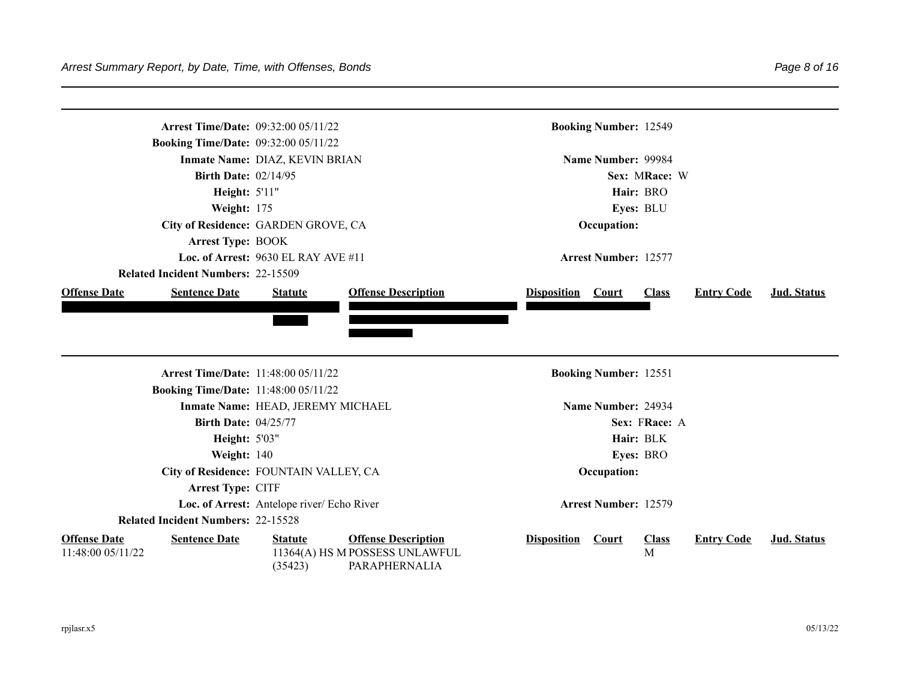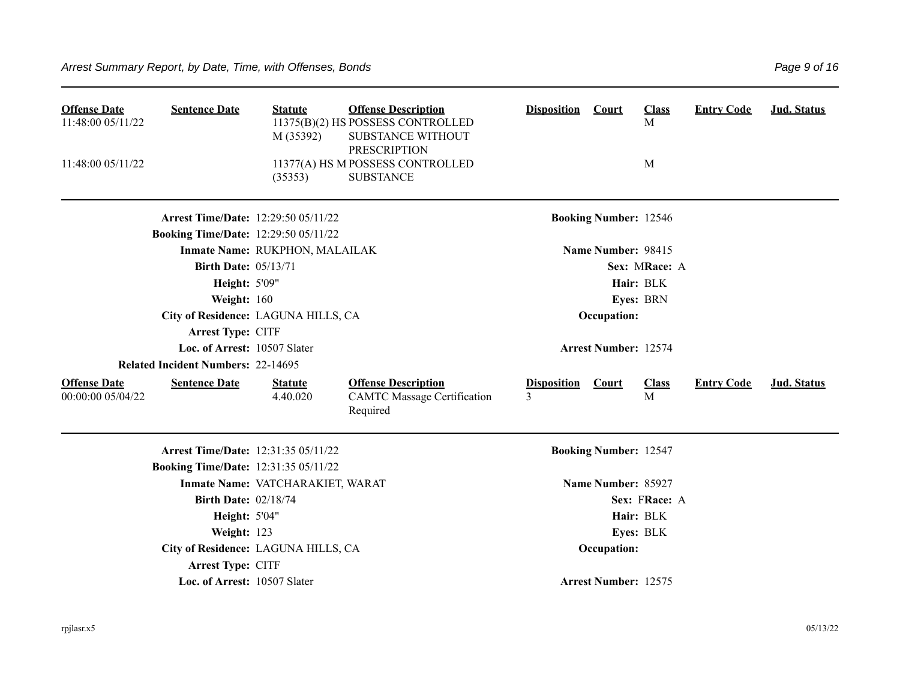| <b>Offense Date</b><br>11:48:00 05/11/22<br>11:48:00 05/11/22 | <b>Sentence Date</b>                        | <b>Statute</b><br>M (35392)<br>(35353) | <b>Offense Description</b><br>11375(B)(2) HS POSSESS CONTROLLED<br>SUBSTANCE WITHOUT<br><b>PRESCRIPTION</b><br>11377(A) HS M POSSESS CONTROLLED<br><b>SUBSTANCE</b> | <b>Disposition</b>      | Court                        | <b>Class</b><br>M<br>M | <b>Entry Code</b> | Jud. Status |
|---------------------------------------------------------------|---------------------------------------------|----------------------------------------|---------------------------------------------------------------------------------------------------------------------------------------------------------------------|-------------------------|------------------------------|------------------------|-------------------|-------------|
|                                                               | <b>Arrest Time/Date: 12:29:50 05/11/22</b>  |                                        |                                                                                                                                                                     |                         | <b>Booking Number: 12546</b> |                        |                   |             |
|                                                               | <b>Booking Time/Date: 12:29:50 05/11/22</b> |                                        |                                                                                                                                                                     |                         |                              |                        |                   |             |
|                                                               |                                             | Inmate Name: RUKPHON, MALAILAK         |                                                                                                                                                                     |                         | Name Number: 98415           |                        |                   |             |
|                                                               | <b>Birth Date: 05/13/71</b>                 |                                        |                                                                                                                                                                     |                         |                              | Sex: MRace: A          |                   |             |
|                                                               | <b>Height: 5'09"</b>                        |                                        |                                                                                                                                                                     |                         |                              | Hair: BLK              |                   |             |
|                                                               | Weight: 160                                 |                                        |                                                                                                                                                                     |                         |                              | Eyes: BRN              |                   |             |
|                                                               | City of Residence: LAGUNA HILLS, CA         |                                        |                                                                                                                                                                     |                         | Occupation:                  |                        |                   |             |
|                                                               | Arrest Type: CITF                           |                                        |                                                                                                                                                                     |                         |                              |                        |                   |             |
|                                                               | Loc. of Arrest: 10507 Slater                |                                        |                                                                                                                                                                     |                         | <b>Arrest Number: 12574</b>  |                        |                   |             |
|                                                               | <b>Related Incident Numbers: 22-14695</b>   |                                        |                                                                                                                                                                     |                         |                              |                        |                   |             |
| <b>Offense Date</b><br>00:00:00 05/04/22                      | <b>Sentence Date</b>                        | <b>Statute</b><br>4.40.020             | <b>Offense Description</b><br><b>CAMTC Massage Certification</b><br>Required                                                                                        | <b>Disposition</b><br>3 | Court                        | <b>Class</b><br>M      | <b>Entry Code</b> | Jud. Status |
|                                                               | <b>Arrest Time/Date: 12:31:35 05/11/22</b>  |                                        |                                                                                                                                                                     |                         | <b>Booking Number: 12547</b> |                        |                   |             |
|                                                               | <b>Booking Time/Date: 12:31:35 05/11/22</b> |                                        |                                                                                                                                                                     |                         |                              |                        |                   |             |
|                                                               |                                             | Inmate Name: VATCHARAKIET, WARAT       |                                                                                                                                                                     |                         | Name Number: 85927           |                        |                   |             |
|                                                               | <b>Birth Date: 02/18/74</b>                 |                                        |                                                                                                                                                                     |                         |                              | Sex: FRace: A          |                   |             |
|                                                               | <b>Height: 5'04"</b>                        |                                        |                                                                                                                                                                     |                         |                              | Hair: BLK              |                   |             |
|                                                               | Weight: 123                                 |                                        |                                                                                                                                                                     |                         |                              | Eyes: BLK              |                   |             |
|                                                               | City of Residence: LAGUNA HILLS, CA         |                                        |                                                                                                                                                                     |                         | Occupation:                  |                        |                   |             |
|                                                               | Arrest Type: CITF                           |                                        |                                                                                                                                                                     |                         |                              |                        |                   |             |
|                                                               | Loc. of Arrest: 10507 Slater                |                                        |                                                                                                                                                                     |                         | <b>Arrest Number: 12575</b>  |                        |                   |             |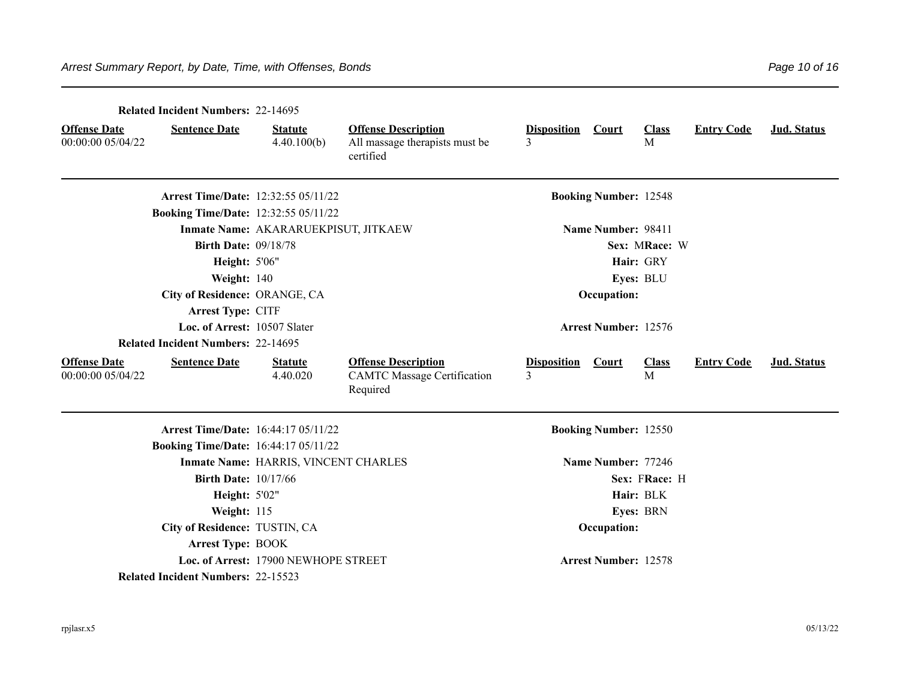|                                          | <b>Related Incident Numbers: 22-14695</b>   |                                      |                                                                              |                                     |                              |                   |                   |             |
|------------------------------------------|---------------------------------------------|--------------------------------------|------------------------------------------------------------------------------|-------------------------------------|------------------------------|-------------------|-------------------|-------------|
| <b>Offense Date</b><br>00:00:00 05/04/22 | <b>Sentence Date</b>                        | <b>Statute</b><br>4.40.100(b)        | <b>Offense Description</b><br>All massage therapists must be<br>certified    | <b>Disposition</b><br>$\mathcal{E}$ | Court                        | <b>Class</b><br>M | <b>Entry Code</b> | Jud. Status |
|                                          | <b>Arrest Time/Date: 12:32:55 05/11/22</b>  |                                      |                                                                              |                                     | <b>Booking Number: 12548</b> |                   |                   |             |
|                                          | <b>Booking Time/Date: 12:32:55 05/11/22</b> |                                      |                                                                              |                                     |                              |                   |                   |             |
|                                          |                                             | Inmate Name: AKARARUEKPISUT, JITKAEW |                                                                              |                                     | Name Number: 98411           |                   |                   |             |
|                                          | <b>Birth Date: 09/18/78</b>                 |                                      |                                                                              |                                     |                              | Sex: MRace: W     |                   |             |
|                                          | <b>Height: 5'06"</b>                        |                                      |                                                                              |                                     |                              | Hair: GRY         |                   |             |
|                                          | Weight: 140                                 |                                      |                                                                              |                                     |                              | Eyes: BLU         |                   |             |
|                                          | City of Residence: ORANGE, CA               |                                      |                                                                              |                                     | Occupation:                  |                   |                   |             |
|                                          | Arrest Type: CITF                           |                                      |                                                                              |                                     |                              |                   |                   |             |
|                                          | Loc. of Arrest: 10507 Slater                |                                      |                                                                              |                                     | <b>Arrest Number: 12576</b>  |                   |                   |             |
|                                          | <b>Related Incident Numbers: 22-14695</b>   |                                      |                                                                              |                                     |                              |                   |                   |             |
| <b>Offense Date</b><br>00:00:00 05/04/22 | <b>Sentence Date</b>                        | <b>Statute</b><br>4.40.020           | <b>Offense Description</b><br><b>CAMTC Massage Certification</b><br>Required | <b>Disposition</b><br>$\mathcal{E}$ | <b>Court</b>                 | <b>Class</b><br>M | <b>Entry Code</b> | Jud. Status |
|                                          | <b>Arrest Time/Date: 16:44:17 05/11/22</b>  |                                      |                                                                              |                                     | <b>Booking Number: 12550</b> |                   |                   |             |
|                                          | <b>Booking Time/Date: 16:44:17 05/11/22</b> |                                      |                                                                              |                                     |                              |                   |                   |             |
|                                          |                                             | Inmate Name: HARRIS, VINCENT CHARLES |                                                                              |                                     | Name Number: 77246           |                   |                   |             |
|                                          | <b>Birth Date: 10/17/66</b>                 |                                      |                                                                              |                                     |                              | Sex: FRace: H     |                   |             |
|                                          | <b>Height: 5'02"</b>                        |                                      |                                                                              |                                     |                              | Hair: BLK         |                   |             |
|                                          | Weight: 115                                 |                                      |                                                                              |                                     |                              | Eyes: BRN         |                   |             |
|                                          | City of Residence: TUSTIN, CA               |                                      |                                                                              |                                     | Occupation:                  |                   |                   |             |
|                                          | <b>Arrest Type: BOOK</b>                    |                                      |                                                                              |                                     |                              |                   |                   |             |
|                                          |                                             | Loc. of Arrest: 17900 NEWHOPE STREET |                                                                              |                                     | <b>Arrest Number: 12578</b>  |                   |                   |             |
|                                          | <b>Related Incident Numbers: 22-15523</b>   |                                      |                                                                              |                                     |                              |                   |                   |             |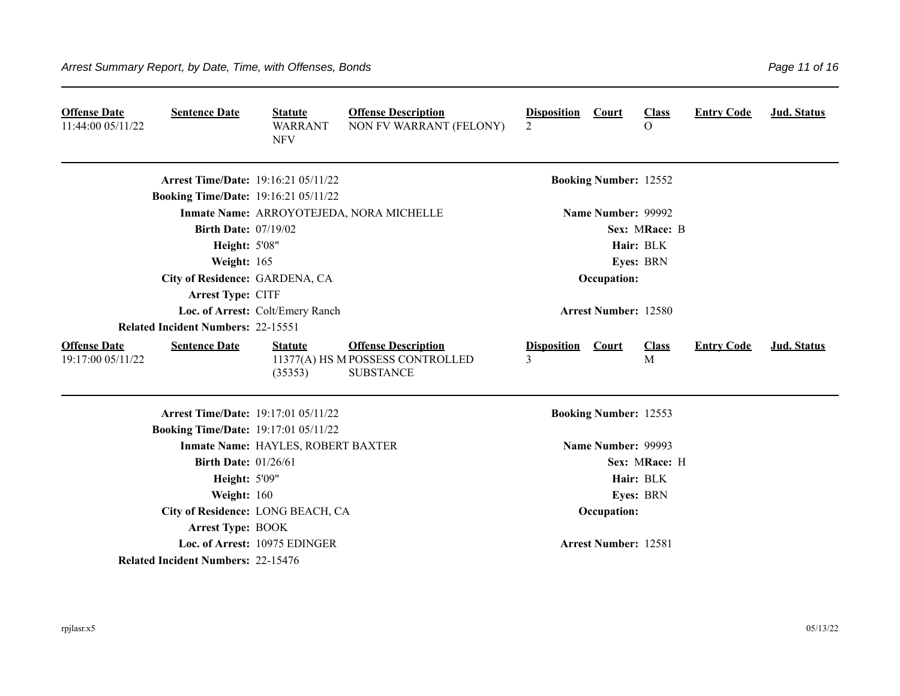| <b>Offense Date</b><br>11:44:00 05/11/22 | <b>Sentence Date</b>                        | <b>Statute</b><br><b>WARRANT</b><br><b>NFV</b> | <b>Offense Description</b><br>NON FV WARRANT (FELONY)                              | <b>Disposition</b><br>$\overline{2}$ | <b>Court</b>                 | <b>Class</b><br>$\Omega$ | <b>Entry Code</b> | Jud. Status        |
|------------------------------------------|---------------------------------------------|------------------------------------------------|------------------------------------------------------------------------------------|--------------------------------------|------------------------------|--------------------------|-------------------|--------------------|
|                                          | <b>Arrest Time/Date: 19:16:21 05/11/22</b>  |                                                |                                                                                    |                                      | <b>Booking Number: 12552</b> |                          |                   |                    |
|                                          | <b>Booking Time/Date: 19:16:21 05/11/22</b> |                                                |                                                                                    |                                      |                              |                          |                   |                    |
|                                          |                                             |                                                | Inmate Name: ARROYOTEJEDA, NORA MICHELLE                                           |                                      | Name Number: 99992           |                          |                   |                    |
|                                          | <b>Birth Date: 07/19/02</b>                 |                                                |                                                                                    |                                      |                              | Sex: MRace: B            |                   |                    |
|                                          | <b>Height: 5'08"</b>                        |                                                |                                                                                    |                                      |                              | Hair: BLK                |                   |                    |
|                                          | Weight: 165                                 |                                                |                                                                                    |                                      |                              | Eyes: BRN                |                   |                    |
|                                          | City of Residence: GARDENA, CA              |                                                |                                                                                    |                                      | Occupation:                  |                          |                   |                    |
|                                          | Arrest Type: CITF                           |                                                |                                                                                    |                                      |                              |                          |                   |                    |
|                                          |                                             | Loc. of Arrest: Colt/Emery Ranch               |                                                                                    |                                      | <b>Arrest Number: 12580</b>  |                          |                   |                    |
|                                          | <b>Related Incident Numbers: 22-15551</b>   |                                                |                                                                                    |                                      |                              |                          |                   |                    |
| <b>Offense Date</b><br>19:17:00 05/11/22 | <b>Sentence Date</b>                        | <b>Statute</b><br>(35353)                      | <b>Offense Description</b><br>11377(A) HS M POSSESS CONTROLLED<br><b>SUBSTANCE</b> | <b>Disposition</b><br>3              | <b>Court</b>                 | <b>Class</b><br>M        | <b>Entry Code</b> | <b>Jud. Status</b> |
|                                          | <b>Arrest Time/Date: 19:17:01 05/11/22</b>  |                                                |                                                                                    |                                      | <b>Booking Number: 12553</b> |                          |                   |                    |
|                                          | <b>Booking Time/Date: 19:17:01 05/11/22</b> |                                                |                                                                                    |                                      |                              |                          |                   |                    |
|                                          |                                             | Inmate Name: HAYLES, ROBERT BAXTER             |                                                                                    |                                      | Name Number: 99993           |                          |                   |                    |
|                                          | <b>Birth Date: 01/26/61</b>                 |                                                |                                                                                    |                                      |                              | Sex: MRace: H            |                   |                    |
|                                          | <b>Height: 5'09"</b>                        |                                                |                                                                                    |                                      |                              | Hair: BLK                |                   |                    |
|                                          | Weight: 160                                 |                                                |                                                                                    |                                      |                              | Eyes: BRN                |                   |                    |
|                                          | City of Residence: LONG BEACH, CA           |                                                |                                                                                    |                                      | Occupation:                  |                          |                   |                    |
|                                          | <b>Arrest Type: BOOK</b>                    |                                                |                                                                                    |                                      |                              |                          |                   |                    |
|                                          |                                             | Loc. of Arrest: 10975 EDINGER                  |                                                                                    |                                      | <b>Arrest Number: 12581</b>  |                          |                   |                    |
|                                          | <b>Related Incident Numbers: 22-15476</b>   |                                                |                                                                                    |                                      |                              |                          |                   |                    |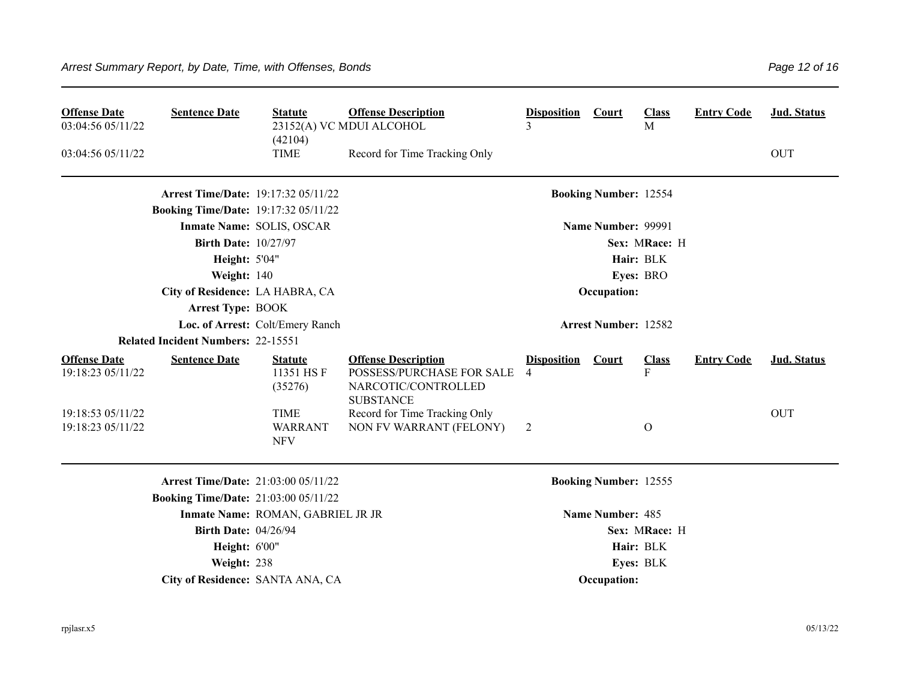| <b>Offense Date</b><br>03:04:56 05/11/22 | <b>Sentence Date</b>                        | <b>Statute</b><br>(42104)                   | <b>Offense Description</b><br>23152(A) VC MDUI ALCOHOL                                             | <b>Disposition</b><br>3              | <b>Court</b>                 | <b>Class</b><br>$\mathbf{M}$ | <b>Entry Code</b> | <b>Jud. Status</b> |
|------------------------------------------|---------------------------------------------|---------------------------------------------|----------------------------------------------------------------------------------------------------|--------------------------------------|------------------------------|------------------------------|-------------------|--------------------|
| 03:04:56 05/11/22                        |                                             | <b>TIME</b>                                 | Record for Time Tracking Only                                                                      |                                      |                              |                              |                   | <b>OUT</b>         |
|                                          | <b>Arrest Time/Date: 19:17:32 05/11/22</b>  |                                             |                                                                                                    |                                      | <b>Booking Number: 12554</b> |                              |                   |                    |
|                                          | <b>Booking Time/Date: 19:17:32 05/11/22</b> |                                             |                                                                                                    |                                      |                              |                              |                   |                    |
|                                          |                                             | Inmate Name: SOLIS, OSCAR                   |                                                                                                    |                                      | Name Number: 99991           |                              |                   |                    |
|                                          | <b>Birth Date: 10/27/97</b>                 |                                             |                                                                                                    |                                      |                              | Sex: MRace: H                |                   |                    |
|                                          | <b>Height: 5'04"</b>                        |                                             |                                                                                                    |                                      |                              | Hair: BLK                    |                   |                    |
|                                          | Weight: 140                                 |                                             |                                                                                                    |                                      |                              | Eyes: BRO                    |                   |                    |
|                                          | City of Residence: LA HABRA, CA             |                                             |                                                                                                    |                                      | Occupation:                  |                              |                   |                    |
|                                          | <b>Arrest Type: BOOK</b>                    |                                             |                                                                                                    |                                      |                              |                              |                   |                    |
|                                          |                                             | Loc. of Arrest: Colt/Emery Ranch            |                                                                                                    |                                      | <b>Arrest Number: 12582</b>  |                              |                   |                    |
|                                          | <b>Related Incident Numbers: 22-15551</b>   |                                             |                                                                                                    |                                      |                              |                              |                   |                    |
| <b>Offense Date</b><br>19:18:23 05/11/22 | <b>Sentence Date</b>                        | <b>Statute</b><br>11351 HSF<br>(35276)      | <b>Offense Description</b><br>POSSESS/PURCHASE FOR SALE<br>NARCOTIC/CONTROLLED<br><b>SUBSTANCE</b> | <b>Disposition</b><br>$\overline{4}$ | Court                        | <b>Class</b><br>F            | <b>Entry Code</b> | <b>Jud. Status</b> |
| 19:18:53 05/11/22<br>19:18:23 05/11/22   |                                             | <b>TIME</b><br><b>WARRANT</b><br><b>NFV</b> | Record for Time Tracking Only<br>NON FV WARRANT (FELONY)                                           | 2                                    |                              | O                            |                   | <b>OUT</b>         |
|                                          | <b>Arrest Time/Date: 21:03:00 05/11/22</b>  |                                             |                                                                                                    |                                      | <b>Booking Number: 12555</b> |                              |                   |                    |
|                                          | <b>Booking Time/Date: 21:03:00 05/11/22</b> |                                             |                                                                                                    |                                      |                              |                              |                   |                    |
|                                          |                                             | Inmate Name: ROMAN, GABRIEL JR JR           |                                                                                                    |                                      | Name Number: 485             |                              |                   |                    |
|                                          | <b>Birth Date: 04/26/94</b>                 |                                             |                                                                                                    |                                      |                              | Sex: MRace: H                |                   |                    |
|                                          | Height: 6'00"                               |                                             |                                                                                                    |                                      |                              | Hair: BLK                    |                   |                    |
|                                          | Weight: 238                                 |                                             |                                                                                                    |                                      |                              | Eyes: BLK                    |                   |                    |
|                                          |                                             | City of Residence: SANTA ANA, CA            |                                                                                                    |                                      | Occupation:                  |                              |                   |                    |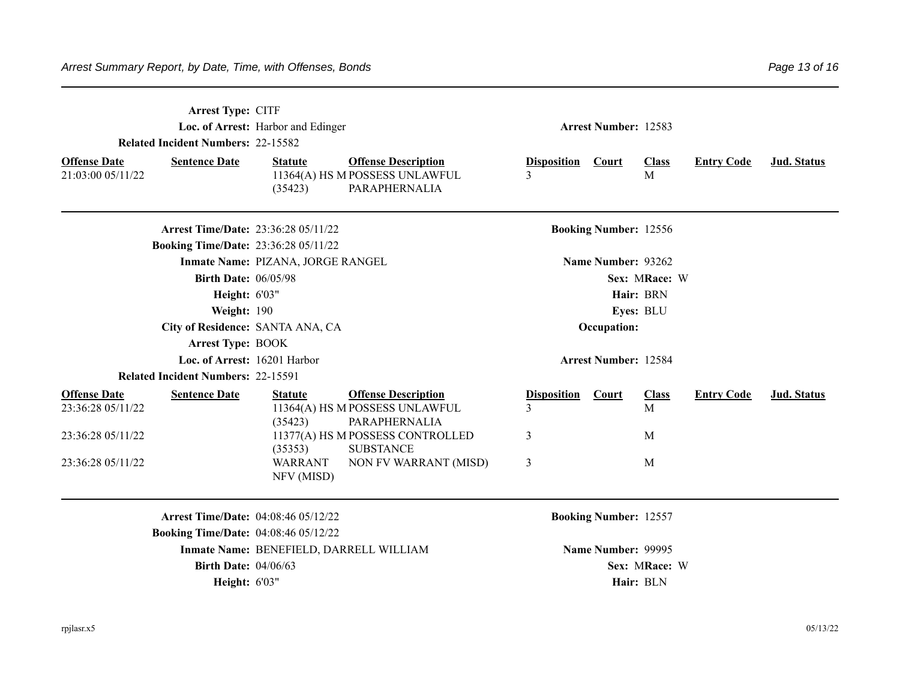| Arrest Type: CITF<br><b>Related Incident Numbers: 22-15582</b><br><b>Offense Date</b><br><b>Sentence Date</b><br>21:03:00 05/11/22 | Loc. of Arrest: Harbor and Edinger<br><b>Offense Description</b><br><b>Statute</b><br>11364(A) HS M POSSESS UNLAWFUL<br>PARAPHERNALIA<br>(35423) | <b>Arrest Number: 12583</b><br><b>Class</b><br><b>Entry Code</b><br>Jud. Status<br><b>Disposition</b><br><b>Court</b><br>3<br>M |
|------------------------------------------------------------------------------------------------------------------------------------|--------------------------------------------------------------------------------------------------------------------------------------------------|---------------------------------------------------------------------------------------------------------------------------------|
| <b>Arrest Time/Date: 23:36:28 05/11/22</b><br><b>Booking Time/Date: 23:36:28 05/11/22</b>                                          |                                                                                                                                                  | <b>Booking Number: 12556</b>                                                                                                    |
| <b>Birth Date: 06/05/98</b><br>Height: 6'03"                                                                                       | Inmate Name: PIZANA, JORGE RANGEL                                                                                                                | Name Number: 93262<br>Sex: MRace: W<br>Hair: BRN                                                                                |
| Weight: 190<br>City of Residence: SANTA ANA, CA<br><b>Arrest Type: BOOK</b>                                                        |                                                                                                                                                  | Eyes: BLU<br>Occupation:                                                                                                        |
| Loc. of Arrest: 16201 Harbor<br><b>Related Incident Numbers: 22-15591</b>                                                          |                                                                                                                                                  | <b>Arrest Number: 12584</b>                                                                                                     |
| <b>Offense Date</b><br><b>Sentence Date</b><br>23:36:28 05/11/22                                                                   | <b>Offense Description</b><br><b>Statute</b><br>11364(A) HS M POSSESS UNLAWFUL<br>(35423)<br>PARAPHERNALIA                                       | <b>Disposition</b><br><b>Class</b><br><b>Entry Code</b><br><b>Jud. Status</b><br>Court<br>3<br>M                                |
| 23:36:28 05/11/22<br>23:36:28 05/11/22                                                                                             | 11377(A) HS M POSSESS CONTROLLED<br><b>SUBSTANCE</b><br>(35353)<br><b>WARRANT</b><br>NON FV WARRANT (MISD)<br>NFV (MISD)                         | 3<br>M<br>3<br>M                                                                                                                |
| <b>Arrest Time/Date: 04:08:46 05/12/22</b>                                                                                         |                                                                                                                                                  | <b>Booking Number: 12557</b>                                                                                                    |
| <b>Booking Time/Date: 04:08:46 05/12/22</b><br><b>Birth Date: 04/06/63</b><br>Height: 6'03"                                        | Inmate Name: BENEFIELD, DARRELL WILLIAM                                                                                                          | Name Number: 99995<br>Sex: MRace: W<br>Hair: BLN                                                                                |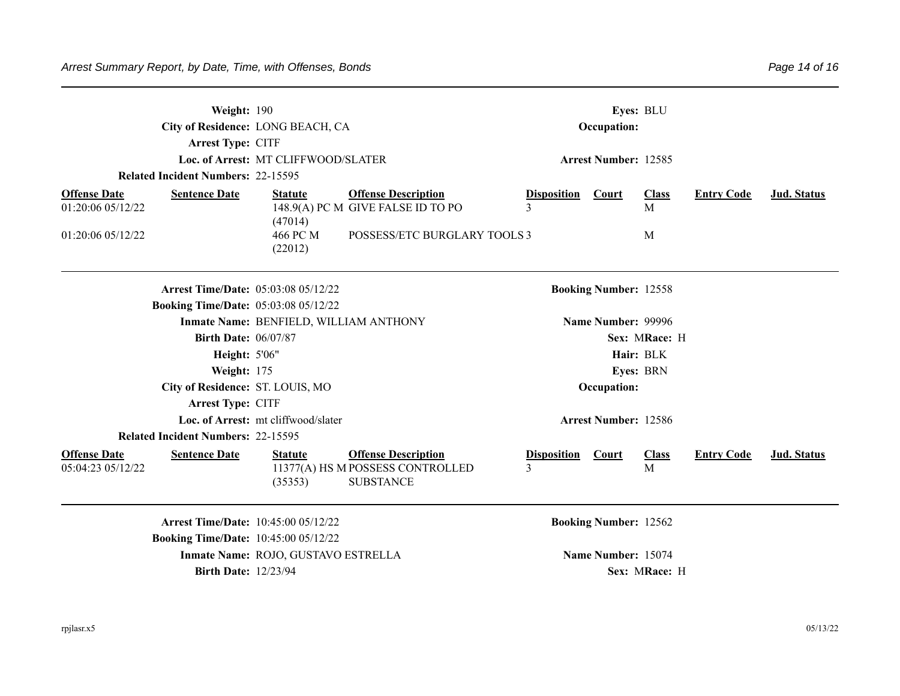**Arrest Type:** CITF

**Arrest Type:** CITF

**Related Incident Numbers:** 22-15595

**Loc. of Arrest: MT CLIFFWOOD/SLATER <b>Arrest Number: 12585** 

**Related Incident Numbers:** 22-15595

| <b>Offense Date</b>                         | <b>Sentence Date</b> | <b>Statute</b> | <b>Offense Description</b>        | <b>Disposition</b>           | <b>Court</b>              | <u>Class</u> | <b>Entry Code</b> | Jud. Status |  |
|---------------------------------------------|----------------------|----------------|-----------------------------------|------------------------------|---------------------------|--------------|-------------------|-------------|--|
| 01:20:0605/12/22                            |                      |                | 148.9(A) PC M GIVE FALSE ID TO PO |                              |                           | Μ            |                   |             |  |
|                                             |                      | (47014)        |                                   |                              |                           |              |                   |             |  |
| 01:20:06 05/12/22                           |                      | 466 PC M       | POSSESS/ETC BURGLARY TOOLS 3      |                              |                           | Μ            |                   |             |  |
|                                             |                      | (22012)        |                                   |                              |                           |              |                   |             |  |
|                                             |                      |                |                                   |                              |                           |              |                   |             |  |
|                                             |                      |                |                                   |                              |                           |              |                   |             |  |
| <b>Arrest Time/Date: 05:03:08 05/12/22</b>  |                      |                |                                   | <b>Booking Number: 12558</b> |                           |              |                   |             |  |
| <b>Booking Time/Date:</b> 05:03:08 05/12/22 |                      |                |                                   |                              |                           |              |                   |             |  |
| Inmate Name: BENFIELD, WILLIAM ANTHONY      |                      |                |                                   |                              | <b>Name Number: 99996</b> |              |                   |             |  |

**Birth Date:** 06/07/87 **Sex: MRace: H Height:** 5'06" **Hair:** BLK **Weight:** 175 **Eyes: BRN** 

**City of Residence: ST. LOUIS, MO <b>Occupation: Occupation: Occupation:** 

**Offense Date** Sentence Date Statute Offense Description Disposition Court Class Entry Code Jud. Status 05:04:23 05/12/22 (35353) 11377(A) HS M POSSESS CONTROLLED SUBSTANCE 3 M

**Loc. of Arrest:** mt cliffwood/slater **Arrest Number: 12586** 

**Arrest Time/Date:** 10:45:00 05/12/22 **Booking Number: 12562 Booking Time/Date:** 10:45:00 05/12/22 **Inmate Name: ROJO, GUSTAVO ESTRELLA <b>Name Number:** 15074 **Birth Date:** 12/23/94 **Sex: MRace: H**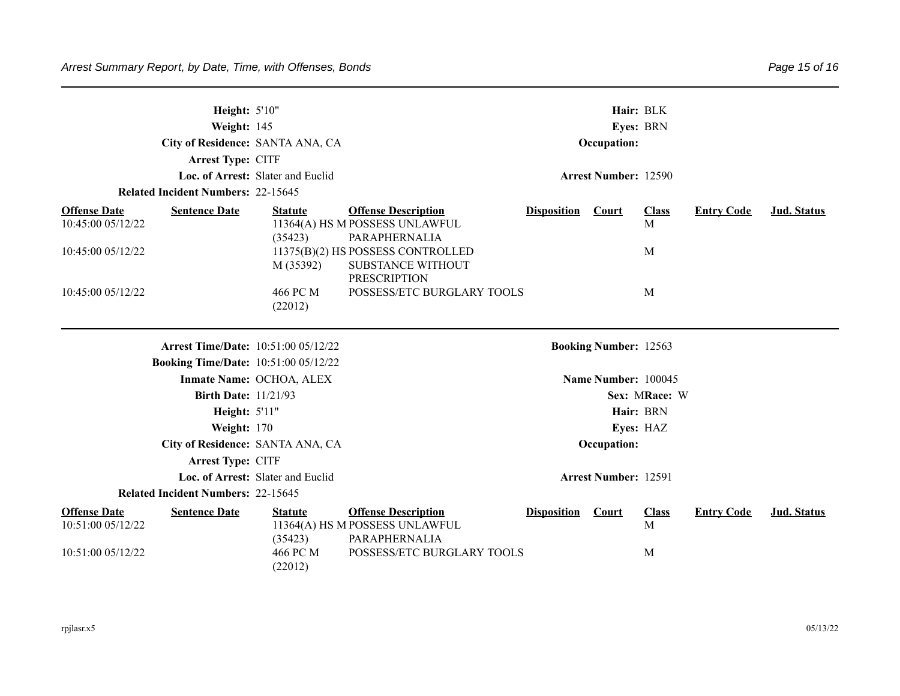| Height: 5'10"<br>Weight: 145<br>City of Residence: SANTA ANA, CA<br>Arrest Type: CITF<br>Loc. of Arrest: Slater and Euclid<br><b>Related Incident Numbers: 22-15645</b> |                                                                                                                      |                                                               | Hair: BLK<br>Eyes: BRN<br>Occupation:<br><b>Arrest Number: 12590</b>                                                                                                                         |                    |                                                     |                                         |                   |                    |  |
|-------------------------------------------------------------------------------------------------------------------------------------------------------------------------|----------------------------------------------------------------------------------------------------------------------|---------------------------------------------------------------|----------------------------------------------------------------------------------------------------------------------------------------------------------------------------------------------|--------------------|-----------------------------------------------------|-----------------------------------------|-------------------|--------------------|--|
| <b>Offense Date</b><br>10:45:00 05/12/22<br>10:45:00 05/12/22<br>10:45:00 05/12/22                                                                                      | <b>Sentence Date</b>                                                                                                 | <b>Statute</b><br>(35423)<br>M (35392)<br>466 PC M<br>(22012) | <b>Offense Description</b><br>11364(A) HS M POSSESS UNLAWFUL<br>PARAPHERNALIA<br>11375(B)(2) HS POSSESS CONTROLLED<br>SUBSTANCE WITHOUT<br><b>PRESCRIPTION</b><br>POSSESS/ETC BURGLARY TOOLS | <b>Disposition</b> | <b>Court</b>                                        | <b>Class</b><br>M<br>M<br>M             | <b>Entry Code</b> | <b>Jud.</b> Status |  |
|                                                                                                                                                                         | <b>Arrest Time/Date: 10:51:00 05/12/22</b><br><b>Booking Time/Date: 10:51:00 05/12/22</b>                            | Inmate Name: OCHOA, ALEX                                      |                                                                                                                                                                                              |                    | <b>Booking Number: 12563</b><br>Name Number: 100045 |                                         |                   |                    |  |
|                                                                                                                                                                         | <b>Birth Date: 11/21/93</b><br>Height: 5'11"<br>Weight: 170<br>City of Residence: SANTA ANA, CA<br>Arrest Type: CITF |                                                               |                                                                                                                                                                                              |                    | <b>Occupation:</b>                                  | Sex: MRace: W<br>Hair: BRN<br>Eyes: HAZ |                   |                    |  |
|                                                                                                                                                                         | <b>Related Incident Numbers: 22-15645</b>                                                                            | Loc. of Arrest: Slater and Euclid                             |                                                                                                                                                                                              |                    | <b>Arrest Number: 12591</b>                         |                                         |                   |                    |  |
| <b>Offense Date</b><br>10:51:00 05/12/22<br>10:51:00 05/12/22                                                                                                           | <b>Sentence Date</b>                                                                                                 | <b>Statute</b><br>(35423)<br>466 PC M<br>(22012)              | <b>Offense Description</b><br>11364(A) HS M POSSESS UNLAWFUL<br>PARAPHERNALIA<br>POSSESS/ETC BURGLARY TOOLS                                                                                  | <b>Disposition</b> | <b>Court</b>                                        | <b>Class</b><br>M<br>M                  | <b>Entry Code</b> | <b>Jud. Status</b> |  |